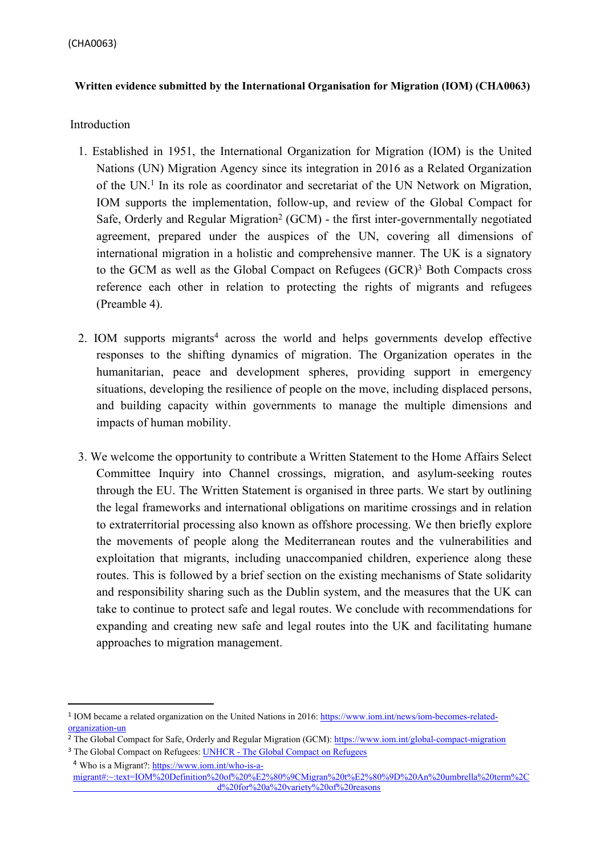#### **Written evidence submitted by the International Organisation for Migration (IOM) (CHA0063)**

#### Introduction

- 1. Established in 1951, the International Organization for Migration (IOM) is the United Nations (UN) Migration Agency since its integration in 2016 as a Related Organization of the UN.<sup>1</sup> In its role as coordinator and secretariat of the UN Network on Migration, IOM supports the implementation, follow-up, and review of the Global Compact for Safe, Orderly and Regular Migration<sup>2</sup> (GCM) - the first inter-governmentally negotiated agreement, prepared under the auspices of the UN, covering all dimensions of international migration in a holistic and comprehensive manner. The UK is a signatory to the GCM as well as the Global Compact on Refugees (GCR)<sup>3</sup> Both Compacts cross reference each other in relation to protecting the rights of migrants and refugees (Preamble 4).
- 2. IOM supports migrants<sup>4</sup> across the world and helps governments develop effective responses to the shifting dynamics of migration. The Organization operates in the humanitarian, peace and development spheres, providing support in emergency situations, developing the resilience of people on the move, including displaced persons, and building capacity within governments to manage the multiple dimensions and impacts of human mobility.
- 3. We welcome the opportunity to contribute a Written Statement to the Home Affairs Select Committee Inquiry into Channel crossings, migration, and asylum-seeking routes through the EU. The Written Statement is organised in three parts. We start by outlining the legal frameworks and international obligations on maritime crossings and in relation to extraterritorial processing also known as offshore processing. We then briefly explore the movements of people along the Mediterranean routes and the vulnerabilities and exploitation that migrants, including unaccompanied children, experience along these routes. This is followed by a brief section on the existing mechanisms of State solidarity and responsibility sharing such as the Dublin system, and the measures that the UK can take to continue to protect safe and legal routes. We conclude with recommendations for expanding and creating new safe and legal routes into the UK and facilitating humane approaches to migration management.

<sup>&</sup>lt;sup>1</sup> IOM became a related organization on the United Nations in 2016: [https://www.iom.int/news/iom-becomes-related](https://www.iom.int/news/iom-becomes-related-organization-un)[organization-un](https://www.iom.int/news/iom-becomes-related-organization-un)

<sup>&</sup>lt;sup>2</sup> The Global Compact for Safe, Orderly and Regular Migration (GCM): <https://www.iom.int/global-compact-migration>

<sup>&</sup>lt;sup>3</sup> The Global Compact on Refugees: UNHCR - The Global Compact on Refugees <sup>4</sup> Who is a Migrant?: [https://www.iom.int/who-is-a](https://www.iom.int/who-is-a-migrant#%3A~%3Atext%3DIOM%20Definition%20of%20%E2%80%9CMigran%20t%E2%80%9D%20An%20umbrella%20term%2C%20not%2Cor%20permanently%2C%20and%20for%20a%20variety%20of%20reasons)[migrant#:~:text=IOM%20Definition%20of%20%E2%80%9CMigran%20t%E2%80%9D%20An%20umbrella%20term%2C](https://www.iom.int/who-is-a-migrant#%3A~%3Atext%3DIOM%20Definition%20of%20%E2%80%9CMigran%20t%E2%80%9D%20An%20umbrella%20term%2C%20not%2Cor%20permanently%2C%20and%20for%20a%20variety%20of%20reasons)  [d%20for%20a%20variety%20of%20reasons](https://www.iom.int/who-is-a-migrant#%3A~%3Atext%3DIOM%20Definition%20of%20%E2%80%9CMigran%20t%E2%80%9D%20An%20umbrella%20term%2C%20not%2Cor%20permanently%2C%20and%20for%20a%20variety%20of%20reasons)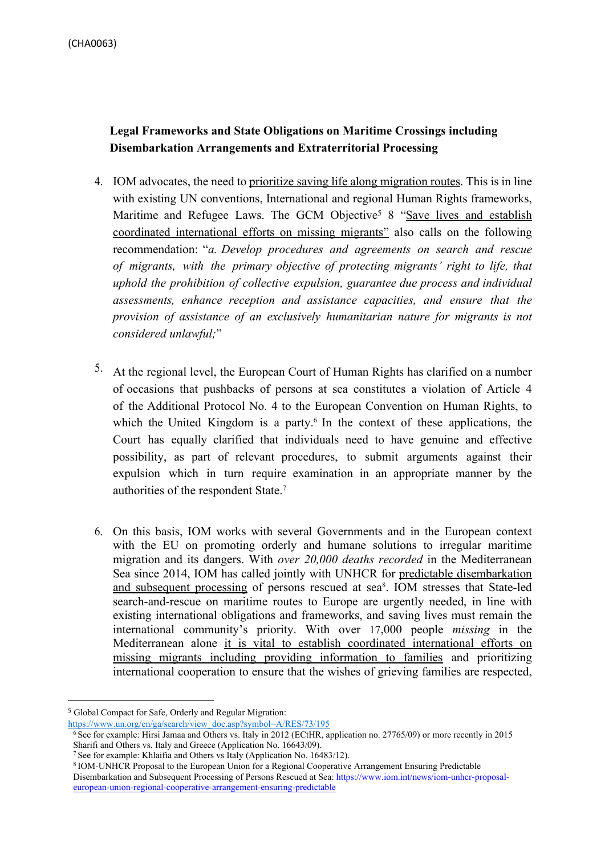(CHA0063)

# **Legal Frameworks and State Obligations on Maritime Crossings including Disembarkation Arrangements and Extraterritorial Processing**

- 4. IOM advocates, the need to prioritize saving life along migration routes. This is in line with existing UN conventions, International and regional Human Rights frameworks, Maritime and Refugee Laws. The GCM Objective<sup>5</sup> 8 "Save lives and establish coordinated international efforts on missing migrants" also calls on the following recommendation: "*a. Develop procedures and agreements on search and rescue of migrants, with the primary objective of protecting migrants' right to life, that uphold the prohibition of collective expulsion, guarantee due process and individual assessments, enhance reception and assistance capacities, and ensure that the provision of assistance of an exclusively humanitarian nature for migrants is not considered unlawful;*"
- 5. At the regional level, the European Court of Human Rights has clarified on a number of occasions that pushbacks of persons at sea constitutes a violation of Article 4 of the Additional Protocol No. 4 to the European Convention on Human Rights, to which the United Kingdom is a party.<sup>6</sup> In the context of these applications, the Court has equally clarified that individuals need to have genuine and effective possibility, as part of relevant procedures, to submit arguments against their expulsion which in turn require examination in an appropriate manner by the authorities of the respondent State.<sup>7</sup>
- 6. On this basis, IOM works with several Governments and in the European context with the EU on promoting orderly and humane solutions to irregular maritime migration and its dangers. With *over 20,000 deaths recorded* in the Mediterranean Sea since 2014, IOM has called jointly with UNHCR for predictable disembarkation and subsequent processing of persons rescued at sea<sup>8</sup>. IOM stresses that State-led search-and-rescue on maritime routes to Europe are urgently needed, in line with existing international obligations and frameworks, and saving lives must remain the international community's priority. With over 17,000 people *missing* in the Mediterranean alone it is vital to establish coordinated international efforts on missing migrants including providing information to families and prioritizing international cooperation to ensure that the wishes of grieving families are respected,

<sup>5</sup> Global Compact for Safe, Orderly and Regular Migration:

[https://www.un.org/en/ga/search/view\\_doc.asp?symbol=A/RES/73/195](https://www.un.org/en/ga/search/view_doc.asp?symbol=A/RES/73/195)

<sup>6</sup> See for example: Hirsi Jamaa and Others vs. Italy in 2012 (ECtHR, application no. 27765/09) or more recently in 2015 Sharifi and Others vs. Italy and Greece (Application No. 16643/09).

<sup>7</sup> See for example: Khlaifia and Others vs Italy (Application No. 16483/12).

<sup>8</sup> IOM-UNHCR Proposal to the European Union for a Regional Cooperative Arrangement Ensuring Predictable Disembarkation and Subsequent Processing of Persons Rescued at Sea: [https://www.iom.int/news/iom-unhcr-proposal](https://www.iom.int/news/iom-unhcr-proposal-european-union-regional-cooperative-arrangement-ensuring-predictable)[european-union-regional-cooperative-arrangement-ensuring-predictable](https://www.iom.int/news/iom-unhcr-proposal-european-union-regional-cooperative-arrangement-ensuring-predictable)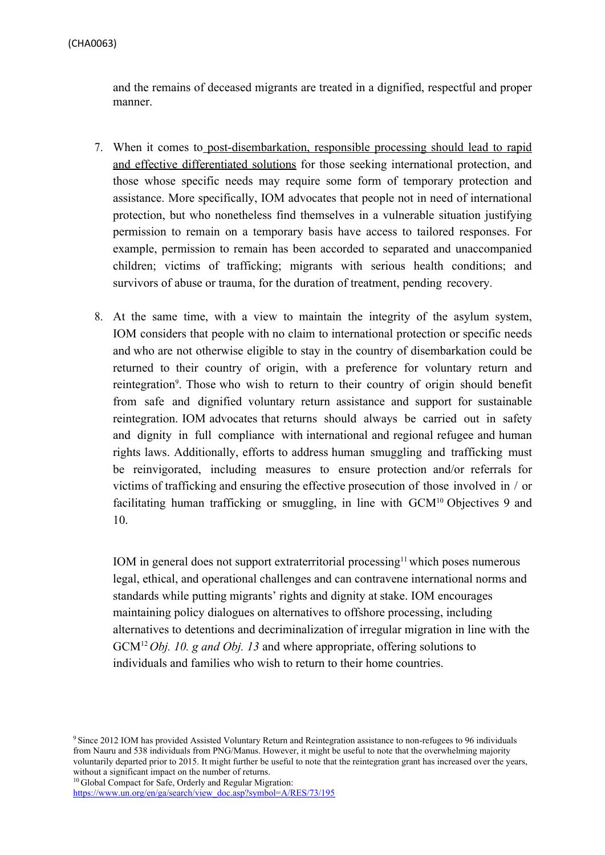and the remains of deceased migrants are treated in a dignified, respectful and proper manner.

- 7. When it comes to post-disembarkation, responsible processing should lead to rapid and effective differentiated solutions for those seeking international protection, and those whose specific needs may require some form of temporary protection and assistance. More specifically, IOM advocates that people not in need of international protection, but who nonetheless find themselves in a vulnerable situation justifying permission to remain on a temporary basis have access to tailored responses. For example, permission to remain has been accorded to separated and unaccompanied children; victims of trafficking; migrants with serious health conditions; and survivors of abuse or trauma, for the duration of treatment, pending recovery.
- 8. At the same time, with a view to maintain the integrity of the asylum system, IOM considers that people with no claim to international protection or specific needs and who are not otherwise eligible to stay in the country of disembarkation could be returned to their country of origin, with a preference for voluntary return and reintegration<sup>9</sup>. Those who wish to return to their country of origin should benefit from safe and dignified voluntary return assistance and support for sustainable reintegration. IOM advocates that returns should always be carried out in safety and dignity in full compliance with international and regional refugee and human rights laws. Additionally, efforts to address human smuggling and trafficking must be reinvigorated, including measures to ensure protection and/or referrals for victims of trafficking and ensuring the effective prosecution of those involved in / or facilitating human trafficking or smuggling, in line with GCM<sup>10</sup> Objectives 9 and 10.

IOM in general does not support extraterritorial processing<sup>11</sup> which poses numerous legal, ethical, and operational challenges and can contravene international norms and standards while putting migrants' rights and dignity at stake. IOM encourages maintaining policy dialogues on alternatives to offshore processing, including alternatives to detentions and decriminalization of irregular migration in line with the GCM<sup>12</sup> *Obj. 10. g and Obj. 13* and where appropriate, offering solutions to individuals and families who wish to return to their home countries.

<sup>9</sup> Since 2012 IOM has provided Assisted Voluntary Return and Reintegration assistance to non-refugees to 96 individuals from Nauru and 538 individuals from PNG/Manus. However, it might be useful to note that the overwhelming majority voluntarily departed prior to 2015. It might further be useful to note that the reintegration grant has increased over the years, without a significant impact on the number of returns.

<sup>10</sup> Global Compact for Safe, Orderly and Regular Migration:

https://www.un.org/en/ga/search/view\_doc.asp?symbol=A/RES/73/195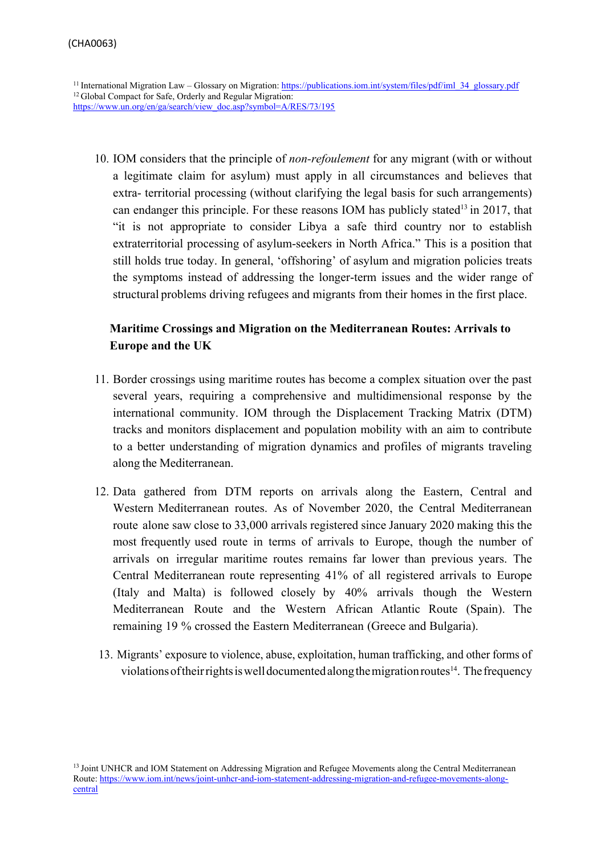<sup>11</sup> International Migration Law – Glossary on Migration: [https://publications.iom.int/system/files/pdf/iml\\_34\\_glossary.pdf](https://publications.iom.int/system/files/pdf/iml_34_glossary.pdf) <sup>12</sup> Global Compact for Safe, Orderly and Regular Migration: https://www.un.org/en/ga/search/view\_doc.asp?symbol=A/RES/73/195

10. IOM considers that the principle of *non-refoulement* for any migrant (with or without a legitimate claim for asylum) must apply in all circumstances and believes that extra- territorial processing (without clarifying the legal basis for such arrangements) can endanger this principle. For these reasons IOM has publicly stated<sup>13</sup> in 2017, that "it is not appropriate to consider Libya a safe third country nor to establish extraterritorial processing of asylum-seekers in North Africa." This is a position that still holds true today. In general, 'offshoring' of asylum and migration policies treats the symptoms instead of addressing the longer-term issues and the wider range of structural problems driving refugees and migrants from their homes in the first place.

# **Maritime Crossings and Migration on the Mediterranean Routes: Arrivals to Europe and the UK**

- 11. Border crossings using maritime routes has become a complex situation over the past several years, requiring a comprehensive and multidimensional response by the international community. IOM through the Displacement Tracking Matrix (DTM) tracks and monitors displacement and population mobility with an aim to contribute to a better understanding of migration dynamics and profiles of migrants traveling along the Mediterranean.
- 12. Data gathered from DTM reports on arrivals along the Eastern, Central and Western Mediterranean routes. As of November 2020, the Central Mediterranean route alone saw close to 33,000 arrivals registered since January 2020 making this the most frequently used route in terms of arrivals to Europe, though the number of arrivals on irregular maritime routes remains far lower than previous years. The Central Mediterranean route representing 41% of all registered arrivals to Europe (Italy and Malta) is followed closely by 40% arrivals though the Western Mediterranean Route and the Western African Atlantic Route (Spain). The remaining 19 % crossed the Eastern Mediterranean (Greece and Bulgaria).
- 13. Migrants' exposure to violence, abuse, exploitation, human trafficking, and other forms of violations of their rights is well documented along the migration routes<sup>14</sup>. The frequency

<sup>&</sup>lt;sup>13</sup> Joint UNHCR and IOM Statement on Addressing Migration and Refugee Movements along the Central Mediterranean Route: [https://www.iom.int/news/joint-unhcr-and-iom-statement-addressing-migration-and-refugee-movements-along](https://www.iom.int/news/joint-unhcr-and-iom-statement-addressing-migration-and-refugee-movements-along-central)[central](https://www.iom.int/news/joint-unhcr-and-iom-statement-addressing-migration-and-refugee-movements-along-central)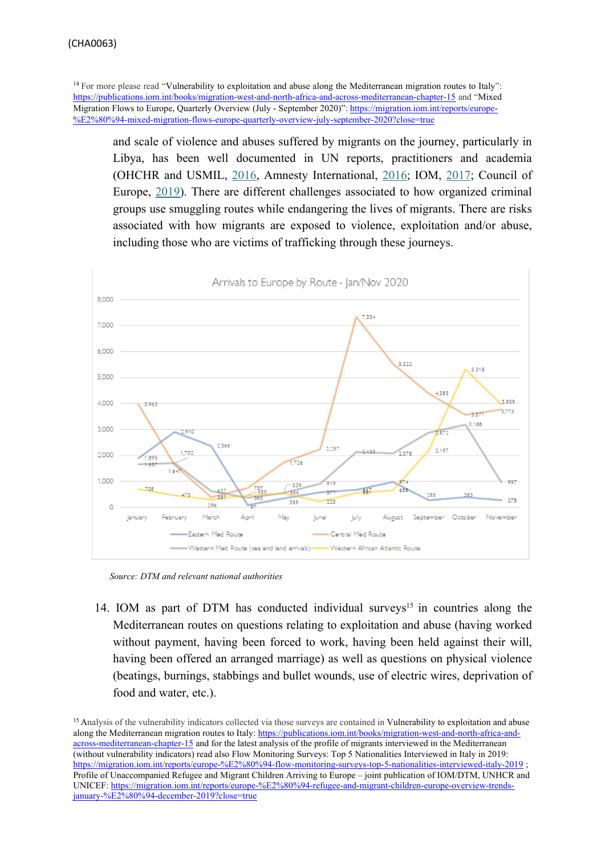<sup>14</sup> For more please read "Vulnerability to exploitation and abuse along the Mediterranean migration routes to Italy": <https://publications.iom.int/books/migration-west-and-north-africa-and-across-mediterranean-chapter-15> and "Mixed Migration Flows to Europe, Quarterly Overview (July - September 2020)": [https://migration.iom.int/reports/europe-](https://migration.iom.int/reports/europe-%E2%80%94-mixed-migration-flows-europe-quarterly-overview-july-september-2020?close=true) [%E2%80%94-mixed-migration-flows-europe-quarterly-overview-july-september-2020?close=true](https://migration.iom.int/reports/europe-%E2%80%94-mixed-migration-flows-europe-quarterly-overview-july-september-2020?close=true)

and scale of violence and abuses suffered by migrants on the journey, particularly in Libya, has been well documented in UN reports, practitioners and academia (OHCHR and USMIL, [2016,](http://www.ohchr.org/Documents/Countries/LY/DetainedAndDehumanised_en.pdf) Amnesty International, [2016;](http://www.amnesty.org/en/latest/news/2016/07/refugees-and-migrants-fleeing-sexual-violence-abuse-and-exploitation-in-libya/) IOM, [2017;](https://migration.iom.int/system/tdf/reports/Analysis_Flow_Monitoring_and_Human_Trafficking_Surveys_in_the_Mediterranean_and_Beyond_adults_children.pdf?file=1&type=node&id=2997) Council of Europe, [2019](https://rm.coe.int/third-party-intervention-before-the-european-court-of-human-rights-app/168098dd4d)). There are different challenges associated to how organized criminal groups use smuggling routes while endangering the lives of migrants. There are risks associated with how migrants are exposed to violence, exploitation and/or abuse, including those who are victims of trafficking through these journeys.



*Source: DTM and relevant national authorities*

14. IOM as part of DTM has conducted individual surveys<sup>15</sup> in countries along the Mediterranean routes on questions relating to exploitation and abuse (having worked without payment, having been forced to work, having been held against their will, having been offered an arranged marriage) as well as questions on physical violence (beatings, burnings, stabbings and bullet wounds, use of electric wires, deprivation of food and water, etc.).

<sup>15</sup> Analysis of the vulnerability indicators collected via those surveys are contained in Vulnerability to exploitation and abuse along the Mediterranean migration routes to Italy: [https://publications.iom.int/books/migration-west-and-north-africa-and](https://publications.iom.int/books/migration-west-and-north-africa-and-across-mediterranean-chapter-15)[across-mediterranean-chapter-15](https://publications.iom.int/books/migration-west-and-north-africa-and-across-mediterranean-chapter-15) and for the latest analysis of the profile of migrants interviewed in the Mediterranean (without vulnerability indicators) read also Flow Monitoring Surveys: Top 5 Nationalities Interviewed in Italy in 2019: <https://migration.iom.int/reports/europe-%E2%80%94-flow-monitoring-surveys-top-5-nationalities-interviewed-italy-2019>[;](https://migration.iom.int/reports/europe-%E2%80%94-flow-monitoring-surveys-top-5-nationalities-interviewed-italy-2019) Profile of Unaccompanied Refugee and Migrant Children Arriving to Europe – joint publication of IOM/DTM, UNHCR and UNICEF: [https://migration.iom.int/reports/europe-%E2%80%94-refugee-and-migrant-children-europe-overview-trends](https://migration.iom.int/reports/europe-%E2%80%94-refugee-and-migrant-children-europe-overview-trends-january-%E2%80%94-december-2019?close=true)[january-%E2%80%94-december-2019?close=true](https://migration.iom.int/reports/europe-%E2%80%94-refugee-and-migrant-children-europe-overview-trends-january-%E2%80%94-december-2019?close=true)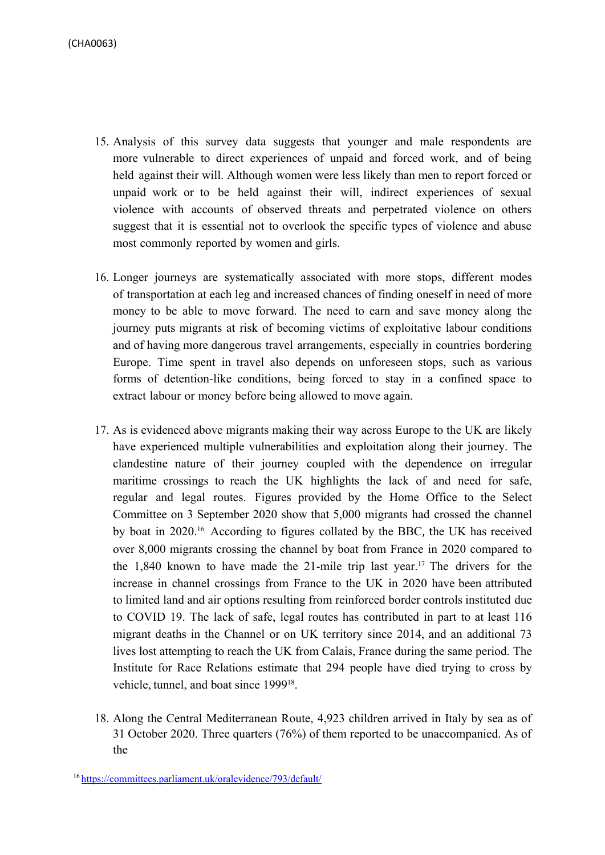- 15. Analysis of this survey data suggests that younger and male respondents are more vulnerable to direct experiences of unpaid and forced work, and of being held against their will. Although women were less likely than men to report forced or unpaid work or to be held against their will, indirect experiences of sexual violence with accounts of observed threats and perpetrated violence on others suggest that it is essential not to overlook the specific types of violence and abuse most commonly reported by women and girls.
- 16. Longer journeys are systematically associated with more stops, different modes of transportation at each leg and increased chances of finding oneself in need of more money to be able to move forward. The need to earn and save money along the journey puts migrants at risk of becoming victims of exploitative labour conditions and of having more dangerous travel arrangements, especially in countries bordering Europe. Time spent in travel also depends on unforeseen stops, such as various forms of detention-like conditions, being forced to stay in a confined space to extract labour or money before being allowed to move again.
- 17. As is evidenced above migrants making their way across Europe to the UK are likely have experienced multiple vulnerabilities and exploitation along their journey. The clandestine nature of their journey coupled with the dependence on irregular maritime crossings to reach the UK highlights the lack of and need for safe, regular and legal routes. Figures provided by the Home Office to the Select Committee on 3 September 2020 show that 5,000 migrants had crossed the channel by boat in 2020.16 According to figures collated by the BBC, the UK has received over 8,000 migrants crossing the channel by boat from France in 2020 compared to the 1,840 known to have made the 21-mile trip last year.<sup>17</sup> The drivers for the increase in channel crossings from France to the UK in 2020 have been attributed to limited land and air options resulting from reinforced border controls instituted due to COVID 19. The lack of safe, legal routes has contributed in part to at least 116 migrant deaths in the Channel or on UK territory since 2014, and an additional 73 lives lost attempting to reach the UK from Calais, France during the same period. [The](https://irr.org.uk/wp-content/uploads/2020/11/Deadly-Crossings-Final.pdf) [Institute](https://irr.org.uk/wp-content/uploads/2020/11/Deadly-Crossings-Final.pdf) [for](https://irr.org.uk/wp-content/uploads/2020/11/Deadly-Crossings-Final.pdf) [Race](https://irr.org.uk/wp-content/uploads/2020/11/Deadly-Crossings-Final.pdf) [Relations](https://irr.org.uk/wp-content/uploads/2020/11/Deadly-Crossings-Final.pdf) [estimate](https://irr.org.uk/wp-content/uploads/2020/11/Deadly-Crossings-Final.pdf) [that](https://irr.org.uk/wp-content/uploads/2020/11/Deadly-Crossings-Final.pdf) 294 [people](https://irr.org.uk/wp-content/uploads/2020/11/Deadly-Crossings-Final.pdf) [have](https://irr.org.uk/wp-content/uploads/2020/11/Deadly-Crossings-Final.pdf) [died](https://irr.org.uk/wp-content/uploads/2020/11/Deadly-Crossings-Final.pdf) [trying](https://irr.org.uk/wp-content/uploads/2020/11/Deadly-Crossings-Final.pdf) [to](https://irr.org.uk/wp-content/uploads/2020/11/Deadly-Crossings-Final.pdf) [cross](https://irr.org.uk/wp-content/uploads/2020/11/Deadly-Crossings-Final.pdf) [by](https://irr.org.uk/wp-content/uploads/2020/11/Deadly-Crossings-Final.pdf) [vehicle,](https://irr.org.uk/wp-content/uploads/2020/11/Deadly-Crossings-Final.pdf) [tunnel,](https://irr.org.uk/wp-content/uploads/2020/11/Deadly-Crossings-Final.pdf) [and](https://irr.org.uk/wp-content/uploads/2020/11/Deadly-Crossings-Final.pdf) [boat](https://irr.org.uk/wp-content/uploads/2020/11/Deadly-Crossings-Final.pdf) [since](https://irr.org.uk/wp-content/uploads/2020/11/Deadly-Crossings-Final.pdf) [1999](https://irr.org.uk/wp-content/uploads/2020/11/Deadly-Crossings-Final.pdf)<sup>[18](https://irr.org.uk/wp-content/uploads/2020/11/Deadly-Crossings-Final.pdf)</sup>[.](https://irr.org.uk/wp-content/uploads/2020/11/Deadly-Crossings-Final.pdf)
- 18. Along the Central Mediterranean Route, 4,923 children arrived in Italy by sea as of 31 October 2020. Three quarters (76%) of them reported to be unaccompanied. As of the

<sup>16</sup> <https://committees.parliament.uk/oralevidence/793/default/>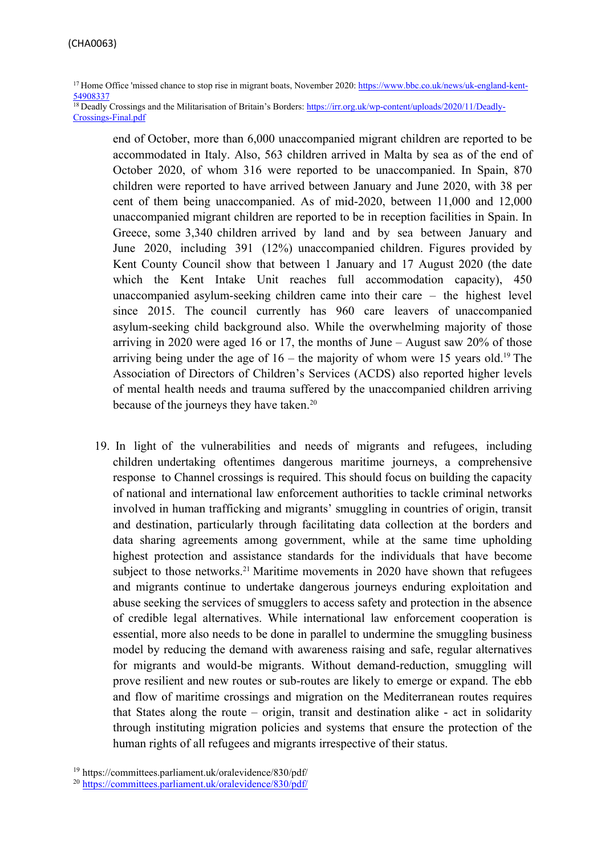<sup>17</sup> Home Office 'missed chance to stop rise in migrant boats, November 2020: [https://www.bbc.co.uk/news/uk-england-kent-](https://www.bbc.co.uk/news/uk-england-kent-54908337)[54908337](https://www.bbc.co.uk/news/uk-england-kent-54908337)

<sup>18</sup> Deadly Crossings and the Militarisation of Britain's Borders: [https://irr.org.uk/wp-content/uploads/2020/11/Deadly-](https://irr.org.uk/wp-content/uploads/2020/11/Deadly-Crossings-Final.pdf)[Crossings-Final.pdf](https://irr.org.uk/wp-content/uploads/2020/11/Deadly-Crossings-Final.pdf)

end of October, more than 6,000 unaccompanied migrant children are reported to be accommodated in Italy. Also, 563 children arrived in Malta by sea as of the end of October 2020, of whom 316 were reported to be unaccompanied. In Spain, 870 children were reported to have arrived between January and June 2020, with 38 per cent of them being unaccompanied. As of mid-2020, between 11,000 and 12,000 unaccompanied migrant children are reported to be in reception facilities in Spain. In Greece, some 3,340 children arrived by land and by sea between January and June 2020, including 391 (12%) unaccompanied children. Figures provided by Kent County Council show that between 1 January and 17 August 2020 (the date which the Kent Intake Unit reaches full accommodation capacity), 450 unaccompanied asylum-seeking children came into their care – the highest level since 2015. The council currently has 960 care leavers of unaccompanied asylum-seeking child background also. While the overwhelming majority of those arriving in 2020 were aged 16 or 17, the months of June – August saw 20% of those arriving being under the age of  $16$  – the majority of whom were 15 years old.<sup>19</sup> The Association of Directors of Children's Services (ACDS) also reported higher levels of mental health needs and trauma suffered by the unaccompanied children arriving because of the journeys they have taken.<sup>20</sup>

19. In light of the vulnerabilities and needs of migrants and refugees, including children undertaking oftentimes dangerous maritime journeys, a comprehensive response to Channel crossings is required. This should focus on building the capacity of national and international law enforcement authorities to tackle criminal networks involved in human trafficking and migrants' smuggling in countries of origin, transit and destination, particularly through facilitating data collection at the borders and data sharing agreements among government, while at the same time upholding highest protection and assistance standards for the individuals that have become subject to those networks.<sup>21</sup> Maritime movements in 2020 have shown that refugees and migrants continue to undertake dangerous journeys enduring exploitation and abuse seeking the services of smugglers to access safety and protection in the absence of credible legal alternatives. While international law enforcement cooperation is essential, more also needs to be done in parallel to undermine the smuggling business model by reducing the demand with awareness raising and safe, regular alternatives for migrants and would-be migrants. Without demand-reduction, smuggling will prove resilient and new routes or sub-routes are likely to emerge or expand. The ebb and flow of maritime crossings and migration on the Mediterranean routes requires that States along the route – origin, transit and destination alike - act in solidarity through instituting migration policies and systems that ensure the protection of the human rights of all refugees and migrants irrespective of their status.

<sup>19</sup> https://committees.parliament.uk/oralevidence/830/pdf/

<sup>20</sup> <https://committees.parliament.uk/oralevidence/830/pdf/>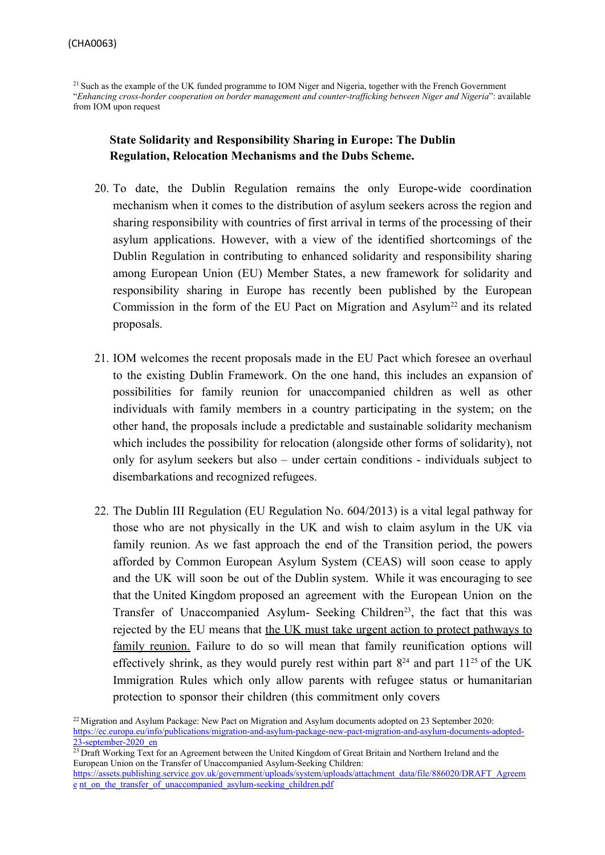<sup>21</sup> Such as the example of the UK funded programme to IOM Niger and Nigeria, together with the French Government "*Enhancing cross-border cooperation on border management and counter-trafficking between Niger and Nigeria*": available from IOM upon request

# **State Solidarity and Responsibility Sharing in Europe: The Dublin Regulation, Relocation Mechanisms and the Dubs Scheme.**

- 20. To date, the Dublin Regulation remains the only Europe-wide coordination mechanism when it comes to the distribution of asylum seekers across the region and sharing responsibility with countries of first arrival in terms of the processing of their asylum applications. However, with a view of the identified shortcomings of the Dublin Regulation in contributing to enhanced solidarity and responsibility sharing among European Union (EU) Member States, a new framework for solidarity and responsibility sharing in Europe has recently been published by the European Commission in the form of the EU Pact on Migration and Asylum<sup>22</sup> and its related proposals.
- 21. IOM welcomes the recent proposals made in the EU Pact which foresee an overhaul to the existing Dublin Framework. On the one hand, this includes an expansion of possibilities for family reunion for unaccompanied children as well as other individuals with family members in a country participating in the system; on the other hand, the proposals include a predictable and sustainable solidarity mechanism which includes the possibility for relocation (alongside other forms of solidarity), not only for asylum seekers but also – under certain conditions - individuals subject to disembarkations and recognized refugees.
- 22. The Dublin III Regulation (EU Regulation No. 604/2013) is a vital legal pathway for those who are not physically in the UK and wish to claim asylum in the UK via family reunion. As we fast approach the end of the Transition period, the powers afforded by Common European Asylum System (CEAS) will soon cease to apply and the UK will soon be out of the Dublin system. While it was encouraging to see that the United Kingdom proposed an agreement with the European Union on the Transfer of Unaccompanied Asylum- Seeking Children<sup>23</sup>, the fact that this was rejected by the EU means that the UK must take urgent action to protect pathways to family reunion. Failure to do so will mean that family reunification options will effectively shrink, as they would purely rest within part  $8<sup>24</sup>$  and part  $11<sup>25</sup>$  of the UK Immigration Rules which only allow parents with refugee status or humanitarian protection to sponsor their children (this commitment only covers

<sup>&</sup>lt;sup>22</sup> Migration and Asylum Package: New Pact on Migration and Asylum documents adopted on 23 September 2020: [https://ec.europa.eu/info/publications/migration-and-asylum-package-new-pact-migration-and-asylum-documents-adopted-](https://ec.europa.eu/info/publications/migration-and-asylum-package-new-pact-migration-and-asylum-documents-adopted-23-september-2020_en)[23-september-2020\\_en](https://ec.europa.eu/info/publications/migration-and-asylum-package-new-pact-migration-and-asylum-documents-adopted-23-september-2020_en)

<sup>&</sup>lt;sup>23</sup> Draft Working Text for an Agreement between the United Kingdom of Great Britain and Northern Ireland and the European Union on the Transfer of Unaccompanied Asylum-Seeking Children:

[https://assets.publishing.service.gov.uk/government/uploads/system/uploads/attachment\\_data/file/886020/DRAFT\\_Agreem](https://assets.publishing.service.gov.uk/government/uploads/system/uploads/attachment_data/file/886020/DRAFT_Agreement_on_the_transfer_of_unaccompanied_asylum-seeking_children.pdf) [e](https://assets.publishing.service.gov.uk/government/uploads/system/uploads/attachment_data/file/886020/DRAFT_Agreement_on_the_transfer_of_unaccompanied_asylum-seeking_children.pdf) [nt\\_on\\_the\\_transfer\\_of\\_unaccompanied\\_asylum-seeking\\_children.pdf](https://assets.publishing.service.gov.uk/government/uploads/system/uploads/attachment_data/file/886020/DRAFT_Agreement_on_the_transfer_of_unaccompanied_asylum-seeking_children.pdf)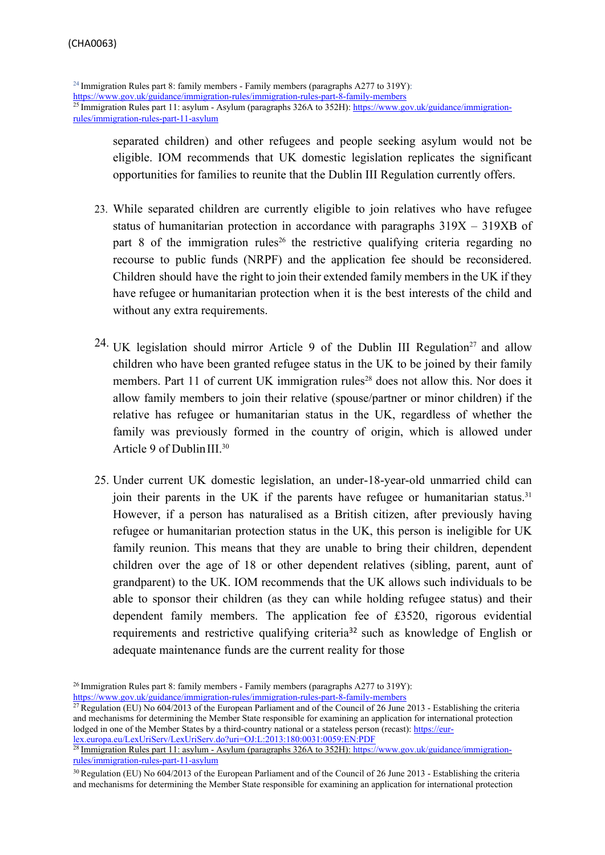<sup>24</sup> Immigration Rules part 8: family members - Family members (paragraphs A277 to 319Y): <https://www.gov.uk/guidance/immigration-rules/immigration-rules-part-8-family-members> <sup>25</sup> Immigration Rules part 11: asylum - Asylum (paragraphs 326A to 352H): [https://www.gov.uk/guidance/immigration](https://www.gov.uk/guidance/immigration-rules/immigration-rules-part-11-asylum)[rules/immigration-rules-part-11-asylum](https://www.gov.uk/guidance/immigration-rules/immigration-rules-part-11-asylum)

separated children) and other refugees and people seeking asylum would not be eligible. IOM recommends that UK domestic legislation replicates the significant opportunities for families to reunite that the Dublin III Regulation currently offers.

- 23. While separated children are currently eligible to join relatives who have refugee status of humanitarian protection in accordance with paragraphs 319X – 319XB of part 8 of the immigration rules<sup>26</sup> the restrictive qualifying criteria regarding no recourse to public funds (NRPF) and the application fee should be reconsidered. Children should have the right to join their extended family members in the UK if they have refugee or humanitarian protection when it is the best interests of the child and without any extra requirements.
- $24$ . UK legislation should mirror Article 9 of the Dublin III Regulation<sup>27</sup> and allow children who have been granted refugee status in the UK to be joined by their family members. Part 11 of current UK immigration rules<sup>28</sup> does not allow this. Nor does it allow family members to join their relative (spouse/partner or minor children) if the relative has refugee or humanitarian status in the UK, regardless of whether the family was previously formed in the country of origin, which is allowed under Article 9 of Dublin III.<sup>30</sup>
- 25. Under current UK domestic legislation, an under-18-year-old unmarried child can join their parents in the UK if the parents have refugee or humanitarian status.<sup>31</sup> However, if a person has naturalised as a British citizen, after previously having refugee or humanitarian protection status in the UK, this person is ineligible for UK family reunion. This means that they are unable to bring their children, dependent children over the age of 18 or other dependent relatives (sibling, parent, aunt of grandparent) to the UK. IOM recommends that the UK allows such individuals to be able to sponsor their children (as they can while holding refugee status) and their dependent family members. The application fee of £3520, rigorous evidential requirements and restrictive qualifying criteria<sup>32</sup> such as knowledge of English or adequate maintenance funds are the current reality for those

<sup>&</sup>lt;sup>26</sup> Immigration Rules part 8: family members - Family members (paragraphs A277 to 319Y): <https://www.gov.uk/guidance/immigration-rules/immigration-rules-part-8-family-members>

<sup>&</sup>lt;sup>27</sup> Regulation (EU) No 604/2013 of the European Parliament and of the Council of 26 June 2013 - Establishing the criteria and mechanisms for determining the Member State responsible for examining an application for international protection lodged in one of the Member States by a third-country national or a stateless person (recast): [https://eur](https://eur-lex.europa.eu/LexUriServ/LexUriServ.do?uri=OJ%3AL%3A2013%3A180%3A0031%3A0059%3AEN%3APDF)[lex.europa.eu/LexUriServ/LexUriServ.do?uri=OJ:L:2013:180:0031:0059:EN:PDF](https://eur-lex.europa.eu/LexUriServ/LexUriServ.do?uri=OJ%3AL%3A2013%3A180%3A0031%3A0059%3AEN%3APDF)

<sup>&</sup>lt;sup>28</sup> Immigration Rules part 11: asylum - Asylum (paragraphs 326A to 352H): [https://www.gov.uk/guidance/immigration](https://www.gov.uk/guidance/immigration-rules/immigration-rules-part-11-asylum)[rules/immigration-rules-part-11-asylum](https://www.gov.uk/guidance/immigration-rules/immigration-rules-part-11-asylum)

<sup>&</sup>lt;sup>30</sup> Regulation (EU) No 604/2013 of the European Parliament and of the Council of 26 June 2013 - Establishing the criteria and mechanisms for determining the Member State responsible for examining an application for international protection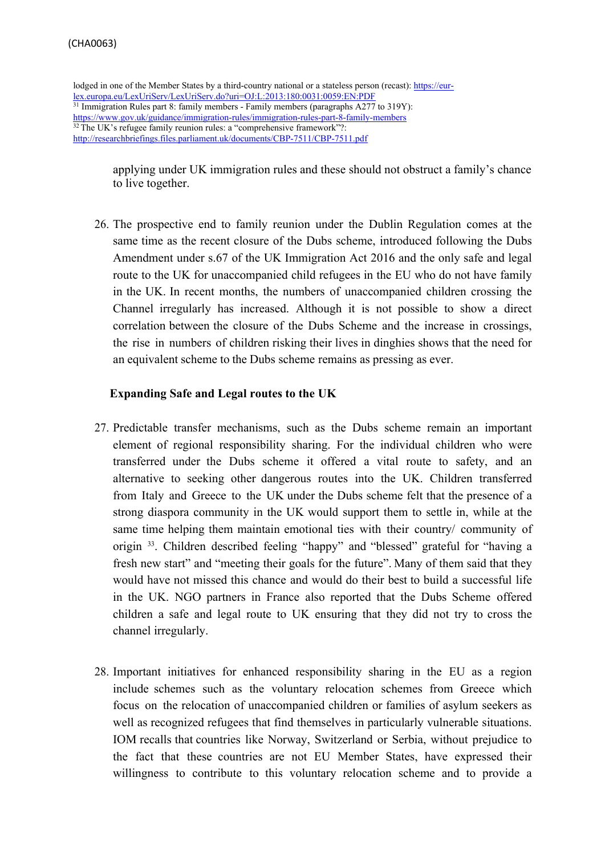```
lodged in one of the Member States by a third-country national or a stateless person (recast): https://eur-
lex.europa.eu/LexUriServ/LexUriServ.do?uri=OJ:L:2013:180:0031:0059:EN:PDF
<sup>31</sup> Immigration Rules part 8: family members - Family members (paragraphs A277 to 319Y):
https://www.gov.uk/guidance/immigration-rules/immigration-rules-part-8-family-members
<sup>32</sup> The UK's refugee family reunion rules: a "comprehensive framework"?:
http://researchbriefings.files.parliament.uk/documents/CBP-7511/CBP-7511.pdf
```
applying under UK immigration rules and these should not obstruct a family's chance to live together.

26. The prospective end to family reunion under the Dublin Regulation comes at the same time as the recent closure of the Dubs scheme, introduced following the Dubs Amendment under s.67 of the UK Immigration Act 2016 and the only safe and legal route to the UK for unaccompanied child refugees in the EU who do not have family in the UK. In recent months, the numbers of unaccompanied children crossing the Channel irregularly has increased. Although it is not possible to show a direct correlation between the closure of the Dubs Scheme and the increase in crossings, the rise in numbers of children risking their lives in dinghies shows that the need for an equivalent scheme to the Dubs scheme remains as pressing as ever.

#### **Expanding Safe and Legal routes to the UK**

- 27. Predictable transfer mechanisms, such as the Dubs scheme remain an important element of regional responsibility sharing. For the individual children who were transferred under the Dubs scheme it offered a vital route to safety, and an alternative to seeking other dangerous routes into the UK. Children transferred from Italy and Greece to the UK under the Dubs scheme felt that the presence of a strong diaspora community in the UK would support them to settle in, while at the same time helping them maintain emotional ties with their country/ community of origin <sup>33</sup> . Children described feeling "happy" and "blessed" grateful for "having a fresh new start" and "meeting their goals for the future". Many of them said that they would have not missed this chance and would do their best to build a successful life in the UK. NGO partners in France also reported that the Dubs Scheme offered children a safe and legal route to UK ensuring that they did not try to cross the channel irregularly.
- 28. Important initiatives for enhanced responsibility sharing in the EU as a region include schemes such as the voluntary relocation schemes from Greece which focus on the relocation of unaccompanied children or families of asylum seekers as well as recognized refugees that find themselves in particularly vulnerable situations. IOM recalls that countries like Norway, Switzerland or Serbia, without prejudice to the fact that these countries are not EU Member States, have expressed their willingness to contribute to this voluntary relocation scheme and to provide a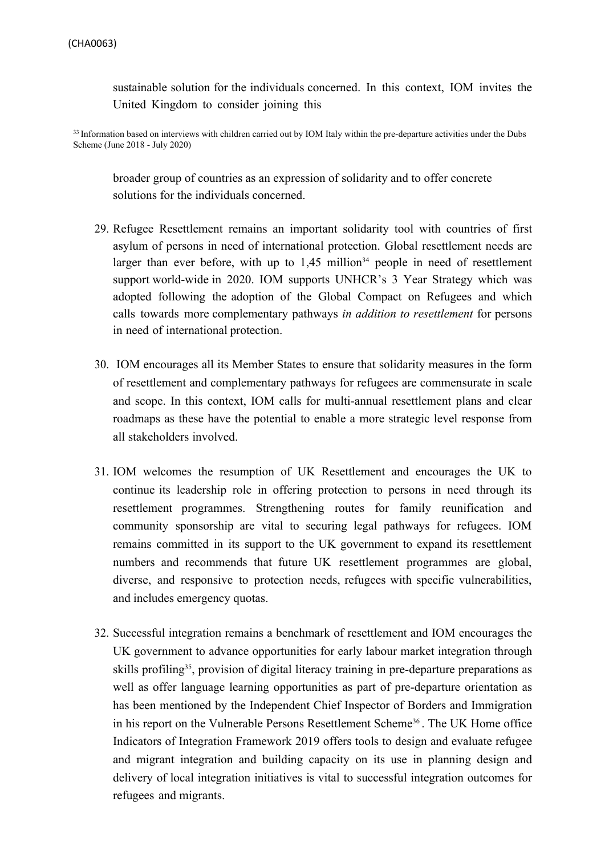sustainable solution for the individuals concerned. In this context, IOM invites the United Kingdom to consider joining this

<sup>33</sup> Information based on interviews with children carried out by IOM Italy within the pre-departure activities under the Dubs Scheme (June 2018 - July 2020)

broader group of countries as an expression of solidarity and to offer concrete solutions for the individuals concerned.

- 29. Refugee Resettlement remains an important solidarity tool with countries of first asylum of persons in need of international protection. Global resettlement needs are larger than ever before, with up to  $1.45$  million<sup>34</sup> people in need of resettlement support world-wide in 2020. IOM supports UNHCR's 3 Year Strategy which was adopted following the adoption of the Global Compact on Refugees and which calls towards more complementary pathways *in addition to resettlement* for persons in need of international protection.
- 30. IOM encourages all its Member States to ensure that solidarity measures in the form of resettlement and complementary pathways for refugees are commensurate in scale and scope. In this context, IOM calls for multi-annual resettlement plans and clear roadmaps as these have the potential to enable a more strategic level response from all stakeholders involved.
- 31. IOM welcomes the resumption of UK Resettlement and encourages the UK to continue its leadership role in offering protection to persons in need through its resettlement programmes. Strengthening routes for family reunification and community sponsorship are vital to securing legal pathways for refugees. IOM remains committed in its support to the UK government to expand its resettlement numbers and recommends that future UK resettlement programmes are global, diverse, and responsive to protection needs, refugees with specific vulnerabilities, and includes emergency quotas.
- 32. Successful integration remains a benchmark of resettlement and IOM encourages the UK government to advance opportunities for early labour market integration through skills profiling<sup>35</sup>, provision of digital literacy training in pre-departure preparations as well as offer language learning opportunities as part of pre-departure orientation as has been mentioned by the Independent Chief Inspector of Borders and Immigration in his report on the Vulnerable Persons Resettlement Scheme<sup>36</sup>. The UK Home office Indicators of Integration Framework 2019 offers tools to design and evaluate refugee and migrant integration and building capacity on its use in planning design and delivery of local integration initiatives is vital to successful integration outcomes for refugees and migrants.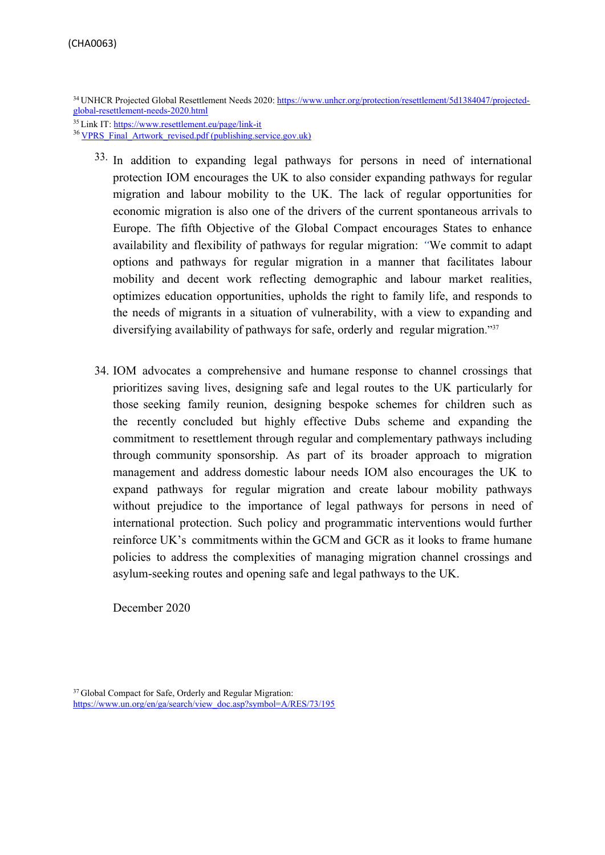<sup>34</sup> UNHCR Projected Global Resettlement Needs 2020: [https://www.unhcr.org/protection/resettlement/5d1384047/projected](https://www.unhcr.org/protection/resettlement/5d1384047/projected-global-resettlement-needs-2020.html)[global-resettlement-needs-2020.html](https://www.unhcr.org/protection/resettlement/5d1384047/projected-global-resettlement-needs-2020.html)

<sup>36</sup> VPRS Final\_Artwork\_revised.pdf [\(publishing.service.gov.uk\)](https://assets.publishing.service.gov.uk/government/uploads/system/uploads/attachment_data/file/705155/VPRS_Final_Artwork_revised.pdf)

- <sup>33</sup>. In addition to expanding legal pathways for persons in need of international protection IOM encourages the UK to also consider expanding pathways for regular migration and labour mobility to the UK. The lack of regular opportunities for economic migration is also one of the drivers of the current spontaneous arrivals to Europe. The fifth Objective of the Global Compact encourages States to enhance availability and flexibility of pathways for regular migration: *"*We commit to adapt options and pathways for regular migration in a manner that facilitates labour mobility and decent work reflecting demographic and labour market realities, optimizes education opportunities, upholds the right to family life, and responds to the needs of migrants in a situation of vulnerability, with a view to expanding and diversifying availability of pathways for safe, orderly and regular migration."<sup>37</sup>
- 34. IOM advocates a comprehensive and humane response to channel crossings that prioritizes saving lives, designing safe and legal routes to the UK particularly for those seeking family reunion, designing bespoke schemes for children such as the recently concluded but highly effective Dubs scheme and expanding the commitment to resettlement through regular and complementary pathways including through community sponsorship. As part of its broader approach to migration management and address domestic labour needs IOM also encourages the UK to expand pathways for regular migration and create labour mobility pathways without prejudice to the importance of legal pathways for persons in need of international protection. Such policy and programmatic interventions would further reinforce UK's commitments within the GCM and GCR as it looks to frame humane policies to address the complexities of managing migration channel crossings and asylum-seeking routes and opening safe and legal pathways to the UK.

December 2020

<sup>35</sup> Link IT: <https://www.resettlement.eu/page/link-it>

<sup>37</sup> Global Compact for Safe, Orderly and Regular Migration: https://www.un.org/en/ga/search/view\_doc.asp?symbol=A/RES/73/195